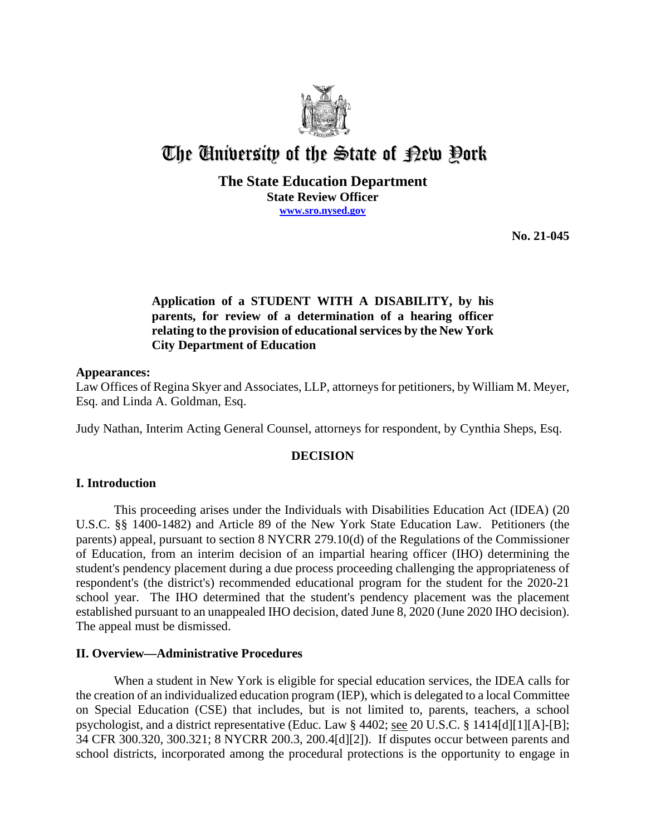

# The University of the State of Pew Pork

## **The State Education Department State Review Officer [www.sro.nysed.gov](http://www.sro.nysed.gov/)**

**No. 21-045** 

# **Application of a STUDENT WITH A DISABILITY, by his parents, for review of a determination of a hearing officer relating to the provision of educational services by the New York City Department of Education**

## **Appearances:**

Law Offices of Regina Skyer and Associates, LLP, attorneys for petitioners, by William M. Meyer, Esq. and Linda A. Goldman, Esq.

Judy Nathan, Interim Acting General Counsel, attorneys for respondent, by Cynthia Sheps, Esq.

## **DECISION**

## **I. Introduction**

This proceeding arises under the Individuals with Disabilities Education Act (IDEA) (20 U.S.C. §§ 1400-1482) and Article 89 of the New York State Education Law. Petitioners (the parents) appeal, pursuant to section 8 NYCRR 279.10(d) of the Regulations of the Commissioner of Education, from an interim decision of an impartial hearing officer (IHO) determining the student's pendency placement during a due process proceeding challenging the appropriateness of respondent's (the district's) recommended educational program for the student for the 2020-21 school year. The IHO determined that the student's pendency placement was the placement established pursuant to an unappealed IHO decision, dated June 8, 2020 (June 2020 IHO decision). The appeal must be dismissed.

#### **II. Overview—Administrative Procedures**

 When a student in New York is eligible for special education services, the IDEA calls for the creation of an individualized education program (IEP), which is delegated to a local Committee on Special Education (CSE) that includes, but is not limited to, parents, teachers, a school psychologist, and a district representative (Educ. Law § 4402; see 20 U.S.C. § 1414[d][1][A]-[B]; 34 CFR 300.320, 300.321; 8 NYCRR 200.3, 200.4[d][2]). If disputes occur between parents and school districts, incorporated among the procedural protections is the opportunity to engage in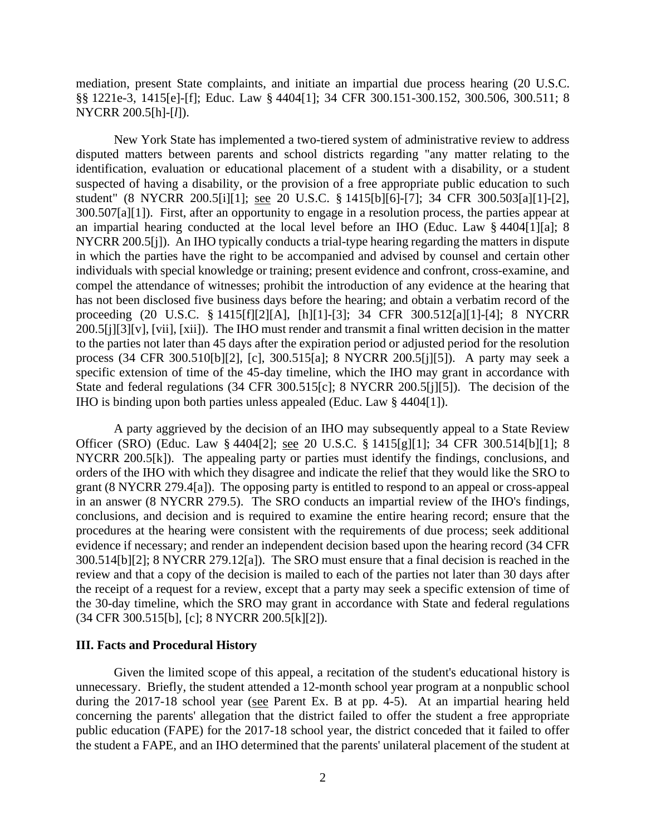§§ 1221e-3, 1415[e]-[f]; Educ. Law § 4404[1]; 34 CFR 300.151-300.152, 300.506, 300.511; 8 mediation, present State complaints, and initiate an impartial due process hearing (20 U.S.C. NYCRR 200.5[h]-[*l*]).

 disputed matters between parents and school districts regarding "any matter relating to the 300.507[a][1]). First, after an opportunity to engage in a resolution process, the parties appear at NYCRR 200.5[j]). An IHO typically conducts a trial-type hearing regarding the matters in dispute process (34 CFR 300.510[b][2], [c], 300.515[a]; 8 NYCRR 200.5[j][5]). A party may seek a IHO is binding upon both parties unless appealed (Educ. Law § 4404[1]). New York State has implemented a two-tiered system of administrative review to address identification, evaluation or educational placement of a student with a disability, or a student suspected of having a disability, or the provision of a free appropriate public education to such student" (8 NYCRR 200.5[i][1]; see 20 U.S.C. § 1415[b][6]-[7]; 34 CFR 300.503[a][1]-[2], an impartial hearing conducted at the local level before an IHO (Educ. Law § 4404[1][a]; 8 in which the parties have the right to be accompanied and advised by counsel and certain other individuals with special knowledge or training; present evidence and confront, cross-examine, and compel the attendance of witnesses; prohibit the introduction of any evidence at the hearing that has not been disclosed five business days before the hearing; and obtain a verbatim record of the proceeding (20 U.S.C. § 1415[f][2][A], [h][1]-[3]; 34 CFR 300.512[a][1]-[4]; 8 NYCRR 200.5[j][3][v], [vii], [xii]). The IHO must render and transmit a final written decision in the matter to the parties not later than 45 days after the expiration period or adjusted period for the resolution specific extension of time of the 45-day timeline, which the IHO may grant in accordance with State and federal regulations (34 CFR 300.515[c]; 8 NYCRR 200.5[j][5]). The decision of the

Officer (SRO) (Educ. Law § 4404[2]; <u>see</u> 20 U.S.C. § 1415[g][1]; 34 CFR 300.514[b][1]; 8 NYCRR 200.5[k]). The appealing party or parties must identify the findings, conclusions, and 300.514[b][2]; 8 NYCRR 279.12[a]). The SRO must ensure that a final decision is reached in the review and that a copy of the decision is mailed to each of the parties not later than 30 days after A party aggrieved by the decision of an IHO may subsequently appeal to a State Review orders of the IHO with which they disagree and indicate the relief that they would like the SRO to grant (8 NYCRR 279.4[a]). The opposing party is entitled to respond to an appeal or cross-appeal in an answer (8 NYCRR 279.5). The SRO conducts an impartial review of the IHO's findings, conclusions, and decision and is required to examine the entire hearing record; ensure that the procedures at the hearing were consistent with the requirements of due process; seek additional evidence if necessary; and render an independent decision based upon the hearing record (34 CFR the receipt of a request for a review, except that a party may seek a specific extension of time of the 30-day timeline, which the SRO may grant in accordance with State and federal regulations (34 CFR 300.515[b], [c]; 8 NYCRR 200.5[k][2]).

#### **III. Facts and Procedural History**

 unnecessary. Briefly, the student attended a 12-month school year program at a nonpublic school during the 2017-18 school year (see Parent Ex. B at pp. 4-5). At an impartial hearing held the student a FAPE, and an IHO determined that the parents' unilateral placement of the student at Given the limited scope of this appeal, a recitation of the student's educational history is concerning the parents' allegation that the district failed to offer the student a free appropriate public education (FAPE) for the 2017-18 school year, the district conceded that it failed to offer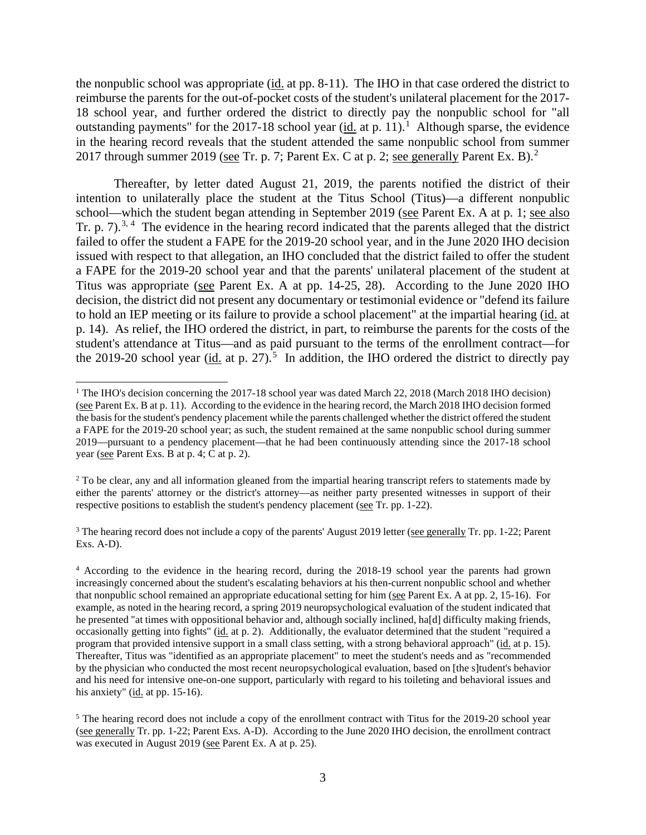the nonpublic school was appropriate (*id.* at pp. 8-11). The IHO in that case ordered the district to outstanding payments" for the 2017-18 school year  $(id.$  at p. 11).<sup>1</sup> Although sparse, the evidence in the hearing record reveals that the student attended the same nonpublic school from summer [2](#page-2-1)017 through summer 2019 (see Tr. p. 7; Parent Ex. C at p. 2; see generally Parent Ex. B).<sup>2</sup> reimburse the parents for the out-of-pocket costs of the student's unilateral placement for the 2017- 18 school year, and further ordered the district to directly pay the nonpublic school for "all

Tr. p. 7).<sup>[3](#page-2-2), 4</sup> The evidence in the hearing record indicated that the parents alleged that the district Titus was appropriate (see Parent Ex. A at pp. 14-25, 28). According to the June 2020 IHO p. 14). As relief, the IHO ordered the district, in part, to reimburse the parents for the costs of the the 2019-20 school year ( $\underline{\text{id.}}$  at p. 27).<sup>[5](#page-2-4)</sup> In addition, the IHO ordered the district to directly pay Thereafter, by letter dated August 21, 2019, the parents notified the district of their intention to unilaterally place the student at the Titus School (Titus)—a different nonpublic school—which the student began attending in September 2019 (see Parent Ex. A at p. 1; see also failed to offer the student a FAPE for the 2019-20 school year, and in the June 2020 IHO decision issued with respect to that allegation, an IHO concluded that the district failed to offer the student a FAPE for the 2019-20 school year and that the parents' unilateral placement of the student at decision, the district did not present any documentary or testimonial evidence or "defend its failure to hold an IEP meeting or its failure to provide a school placement" at the impartial hearing (id. at student's attendance at Titus—and as paid pursuant to the terms of the enrollment contract—for

<span id="page-2-0"></span><sup>(</sup>see Parent Ex. B at p. 11). According to the evidence in the hearing record, the March 2018 IHO decision formed 2019—pursuant to a pendency placement—that he had been continuously attending since the 2017-18 school year (see Parent Exs. B at p. 4; C at p. 2). <sup>1</sup> The IHO's decision concerning the 2017-18 school year was dated March 22, 2018 (March 2018 IHO decision) the basis for the student's pendency placement while the parents challenged whether the district offered the student a FAPE for the 2019-20 school year; as such, the student remained at the same nonpublic school during summer

<span id="page-2-1"></span> either the parents' attorney or the district's attorney—as neither party presented witnesses in support of their <sup>2</sup> To be clear, any and all information gleaned from the impartial hearing transcript refers to statements made by respective positions to establish the student's pendency placement (see Tr. pp. 1-22).

<span id="page-2-2"></span><sup>&</sup>lt;sup>3</sup> The hearing record does not include a copy of the parents' August 2019 letter (see generally Tr. pp. 1-22; Parent Exs. A-D).

<span id="page-2-3"></span>that nonpublic school remained an appropriate educational setting for him (see Parent Ex. A at pp. 2, 15-16). For example, as noted in the hearing record, a spring 2019 neuropsychological evaluation of the student indicated that occasionally getting into fights" (id. at p. 2). Additionally, the evaluator determined that the student "required a program that provided intensive support in a small class setting, with a strong behavioral approach" (id. at p. 15). 4 According to the evidence in the hearing record, during the 2018-19 school year the parents had grown increasingly concerned about the student's escalating behaviors at his then-current nonpublic school and whether he presented "at times with oppositional behavior and, although socially inclined, ha[d] difficulty making friends, Thereafter, Titus was "identified as an appropriate placement" to meet the student's needs and as "recommended by the physician who conducted the most recent neuropsychological evaluation, based on [the s]tudent's behavior and his need for intensive one-on-one support, particularly with regard to his toileting and behavioral issues and his anxiety" (id. at pp. 15-16).

<span id="page-2-4"></span> $5$  The hearing record does not include a copy of the enrollment contract with Titus for the 2019-20 school year (see generally Tr. pp. 1-22; Parent Exs. A-D). According to the June 2020 IHO decision, the enrollment contract was executed in August 2019 (see Parent Ex. A at p. 25).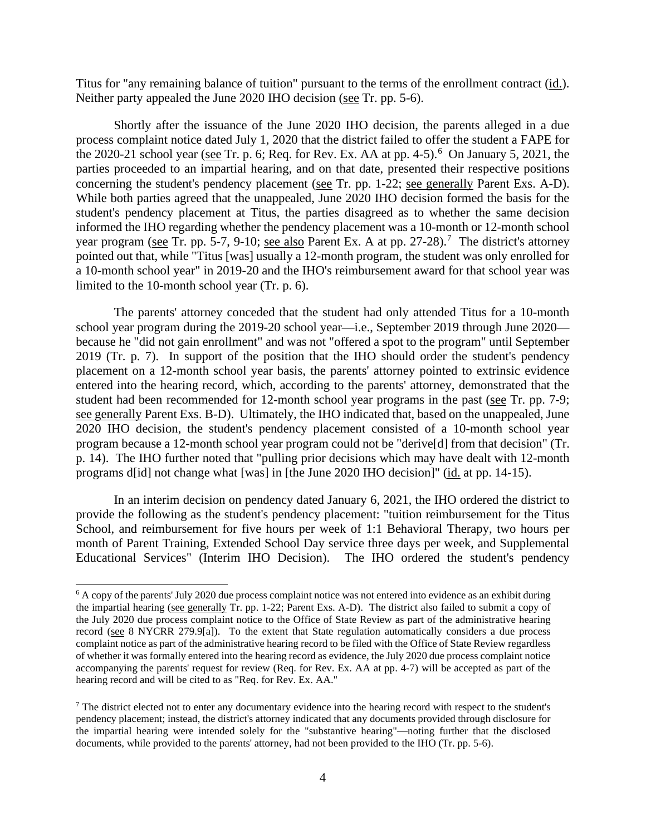Titus for "any remaining balance of tuition" pursuant to the terms of the enrollment contract (<u>id.</u>). Neither party appealed the June 2020 IHO decision (see Tr. pp. 5-6). Neither party appealed the June 2020 IHO decision (see Tr. pp. 5-6).

the 2020-21 school year (see Tr. p. [6](#page-3-0); Req. for Rev. Ex. AA at pp. 4-5).<sup>6</sup> On January 5, 2021, the concerning the student's pendency placement (see Tr. pp. 1-22; see generally Parent Exs. A-D). year program (see Tr. pp. 5-[7](#page-3-1), 9-10; see also Parent Ex. A at pp. 27-28).<sup>7</sup> The district's attorney a 10-month school year" in 2019-20 and the IHO's reimbursement award for that school year was limited to the 10-month school year (Tr. p. 6). Shortly after the issuance of the June 2020 IHO decision, the parents alleged in a due process complaint notice dated July 1, 2020 that the district failed to offer the student a FAPE for parties proceeded to an impartial hearing, and on that date, presented their respective positions While both parties agreed that the unappealed, June 2020 IHO decision formed the basis for the student's pendency placement at Titus, the parties disagreed as to whether the same decision informed the IHO regarding whether the pendency placement was a 10-month or 12-month school pointed out that, while "Titus [was] usually a 12-month program, the student was only enrolled for

 because he "did not gain enrollment" and was not "offered a spot to the program" until September 2019 (Tr. p. 7). In support of the position that the IHO should order the student's pendency student had been recommended for 12-month school year programs in the past (see Tr. pp. 7-9; see generally Parent Exs. B-D). Ultimately, the IHO indicated that, based on the unappealed, June 2020 IHO decision, the student's pendency placement consisted of a 10-month school year p. 14). The IHO further noted that "pulling prior decisions which may have dealt with 12-month The parents' attorney conceded that the student had only attended Titus for a 10-month school year program during the 2019-20 school year—i.e., September 2019 through June 2020 placement on a 12-month school year basis, the parents' attorney pointed to extrinsic evidence entered into the hearing record, which, according to the parents' attorney, demonstrated that the program because a 12-month school year program could not be "derive[d] from that decision" (Tr. programs d[id] not change what [was] in [the June 2020 IHO decision]" (id. at pp. 14-15).

 provide the following as the student's pendency placement: "tuition reimbursement for the Titus Educational Services" (Interim IHO Decision). The IHO ordered the student's pendency In an interim decision on pendency dated January 6, 2021, the IHO ordered the district to School, and reimbursement for five hours per week of 1:1 Behavioral Therapy, two hours per month of Parent Training, Extended School Day service three days per week, and Supplemental

<span id="page-3-0"></span> $6$  A copy of the parents' July 2020 due process complaint notice was not entered into evidence as an exhibit during the impartial hearing (see generally Tr. pp. 1-22; Parent Exs. A-D). The district also failed to submit a copy of record (see 8 NYCRR 279.9[a]). To the extent that State regulation automatically considers a due process accompanying the parents' request for review (Req. for Rev. Ex. AA at pp. 4-7) will be accepted as part of the the July 2020 due process complaint notice to the Office of State Review as part of the administrative hearing complaint notice as part of the administrative hearing record to be filed with the Office of State Review regardless of whether it was formally entered into the hearing record as evidence, the July 2020 due process complaint notice hearing record and will be cited to as "Req. for Rev. Ex. AA."

<span id="page-3-1"></span> documents, while provided to the parents' attorney, had not been provided to the IHO (Tr. pp. 5-6).  $<sup>7</sup>$  The district elected not to enter any documentary evidence into the hearing record with respect to the student's</sup> pendency placement; instead, the district's attorney indicated that any documents provided through disclosure for the impartial hearing were intended solely for the "substantive hearing"—noting further that the disclosed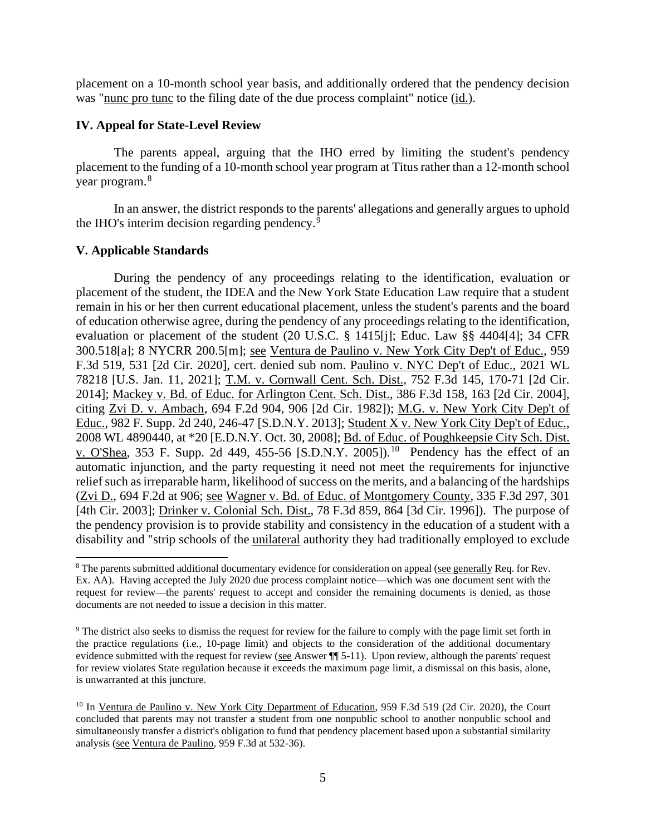was "nunc pro tunc to the filing date of the due process complaint" notice (id.). placement on a 10-month school year basis, and additionally ordered that the pendency decision

#### **IV. Appeal for State-Level Review**

 The parents appeal, arguing that the IHO erred by limiting the student's pendency placement to the funding of a 10-month school year program at Titus rather than a 12-month school year program. [8](#page-4-0) 

the IHO's interim decision regarding pendency.<sup>[9](#page-4-1)</sup> In an answer, the district responds to the parents' allegations and generally argues to uphold

## **V. Applicable Standards**

<u>v. O'Shea</u>, 353 F. Supp. 2d 449, 455-56 [S.D.N.Y. 2005]).<sup>10</sup> Pendency has the effect of an During the pendency of any proceedings relating to the identification, evaluation or placement of the student, the IDEA and the New York State Education Law require that a student remain in his or her then current educational placement, unless the student's parents and the board of education otherwise agree, during the pendency of any proceedings relating to the identification, evaluation or placement of the student (20 U.S.C. § 1415[j]; Educ. Law §§ 4404[4]; 34 CFR 300.518[a]; 8 NYCRR 200.5[m]; see Ventura de Paulino v. New York City Dep't of Educ., 959 F.3d 519, 531 [2d Cir. 2020], cert. denied sub nom. Paulino v. NYC Dep't of Educ., 2021 WL 78218 [U.S. Jan. 11, 2021]; T.M. v. Cornwall Cent. Sch. Dist., 752 F.3d 145, 170-71 [2d Cir. 2014]; Mackey v. Bd. of Educ. for Arlington Cent. Sch. Dist., 386 F.3d 158, 163 [2d Cir. 2004], citing Zvi D. v. Ambach, 694 F.2d 904, 906 [2d Cir. 1982]); M.G. v. New York City Dep't of Educ., 982 F. Supp. 2d 240, 246-47 [S.D.N.Y. 2013]; Student X v. New York City Dep't of Educ., 2008 WL 4890440, at \*20 [E.D.N.Y. Oct. 30, 2008]; Bd. of Educ. of Poughkeepsie City Sch. Dist. automatic injunction, and the party requesting it need not meet the requirements for injunctive relief such as irreparable harm, likelihood of success on the merits, and a balancing of the hardships (Zvi D., 694 F.2d at 906; see Wagner v. Bd. of Educ. of Montgomery County, 335 F.3d 297, 301 [4th Cir. 2003]; Drinker v. Colonial Sch. Dist., 78 F.3d 859, 864 [3d Cir. 1996]). The purpose of the pendency provision is to provide stability and consistency in the education of a student with a disability and "strip schools of the unilateral authority they had traditionally employed to exclude

<span id="page-4-0"></span> Ex. AA). Having accepted the July 2020 due process complaint notice—which was one document sent with the request for review—the parents' request to accept and consider the remaining documents is denied, as those 8 The parents submitted additional documentary evidence for consideration on appeal (see generally Req. for Rev. documents are not needed to issue a decision in this matter.

<span id="page-4-1"></span> $9$  The district also seeks to dismiss the request for review for the failure to comply with the page limit set forth in evidence submitted with the request for review ( $\frac{\text{see}}{\text{If } 5-11}$ ). Upon review, although the parents' request the practice regulations (i.e., 10-page limit) and objects to the consideration of the additional documentary for review violates State regulation because it exceeds the maximum page limit, a dismissal on this basis, alone, is unwarranted at this juncture.

<span id="page-4-2"></span> concluded that parents may not transfer a student from one nonpublic school to another nonpublic school and <sup>10</sup> In Ventura de Paulino v. New York City Department of Education, 959 F.3d 519 (2d Cir. 2020), the Court simultaneously transfer a district's obligation to fund that pendency placement based upon a substantial similarity analysis (see Ventura de Paulino, 959 F.3d at 532-36).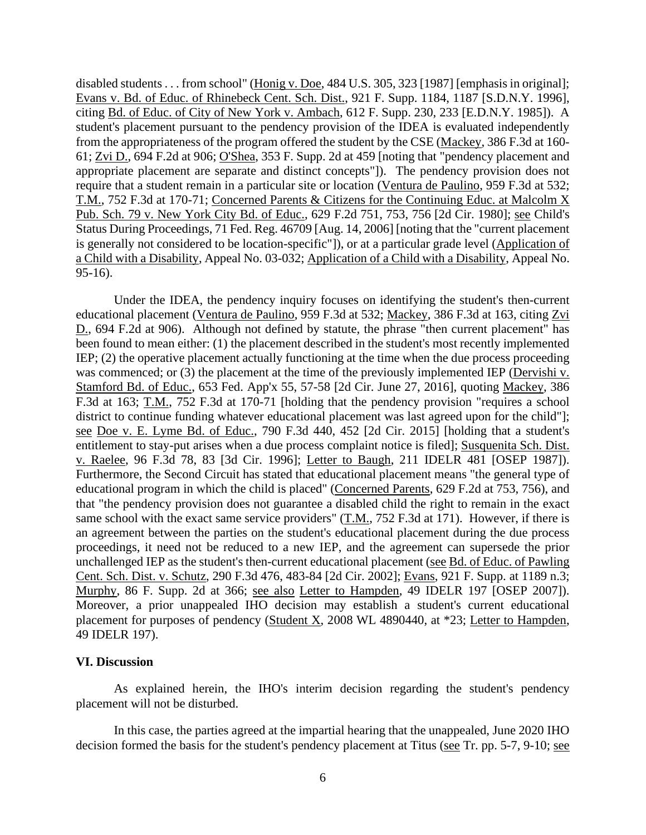Pub. Sch. 79 v. New York City Bd. of Educ., 629 F.2d 751, 753, 756 [2d Cir. 1980]; <u>see</u> Child's disabled students . . . from school" (Honig v. Doe, 484 U.S. 305, 323 [1987] [emphasis in original]; Evans v. Bd. of Educ. of Rhinebeck Cent. Sch. Dist., 921 F. Supp. 1184, 1187 [S.D.N.Y. 1996], citing Bd. of Educ. of City of New York v. Ambach, 612 F. Supp. 230, 233 [E.D.N.Y. 1985]). A student's placement pursuant to the pendency provision of the IDEA is evaluated independently from the appropriateness of the program offered the student by the CSE (Mackey, 386 F.3d at 160- 61; Zvi D., 694 F.2d at 906; O'Shea, 353 F. Supp. 2d at 459 [noting that "pendency placement and appropriate placement are separate and distinct concepts"]). The pendency provision does not require that a student remain in a particular site or location (Ventura de Paulino, 959 F.3d at 532; T.M., 752 F.3d at 170-71; Concerned Parents & Citizens for the Continuing Educ. at Malcolm X Status During Proceedings, 71 Fed. Reg. 46709 [Aug. 14, 2006] [noting that the "current placement is generally not considered to be location-specific"]), or at a particular grade level (Application of a Child with a Disability, Appeal No. 03-032; Application of a Child with a Disability, Appeal No. 95-16).

F.3d at 163; T.M., 752 F.3d at 170-71 [holding that the pendency provision "requires a school district to continue funding whatever educational placement was last agreed upon for the child"]; see Doe v. E. Lyme Bd. of Educ., 790 F.3d 440, 452 [2d Cir. 2015] [holding that a student's v. Raelee, 96 F.3d 78, 83 [3d Cir. 1996]; Letter to Baugh, 211 IDELR 481 [OSEP 1987]). Murphy, 86 F. Supp. 2d at 366; see also Letter to Hampden, 49 IDELR 197 [OSEP 2007]). Under the IDEA, the pendency inquiry focuses on identifying the student's then-current educational placement (Ventura de Paulino, 959 F.3d at 532; Mackey, 386 F.3d at 163, citing Zvi D., 694 F.2d at 906). Although not defined by statute, the phrase "then current placement" has been found to mean either: (1) the placement described in the student's most recently implemented IEP; (2) the operative placement actually functioning at the time when the due process proceeding was commenced; or (3) the placement at the time of the previously implemented IEP (Dervishi v. Stamford Bd. of Educ., 653 Fed. App'x 55, 57-58 [2d Cir. June 27, 2016], quoting Mackey, 386 entitlement to stay-put arises when a due process complaint notice is filed]; Susquenita Sch. Dist. Furthermore, the Second Circuit has stated that educational placement means "the general type of educational program in which the child is placed" (Concerned Parents, 629 F.2d at 753, 756), and that "the pendency provision does not guarantee a disabled child the right to remain in the exact same school with the exact same service providers" (T.M., 752 F.3d at 171). However, if there is an agreement between the parties on the student's educational placement during the due process proceedings, it need not be reduced to a new IEP, and the agreement can supersede the prior unchallenged IEP as the student's then-current educational placement (see Bd. of Educ. of Pawling Cent. Sch. Dist. v. Schutz, 290 F.3d 476, 483-84 [2d Cir. 2002]; Evans, 921 F. Supp. at 1189 n.3; Moreover, a prior unappealed IHO decision may establish a student's current educational placement for purposes of pendency (Student X, 2008 WL 4890440, at \*23; Letter to Hampden, 49 IDELR 197).

#### **VI. Discussion**

As explained herein, the IHO's interim decision regarding the student's pendency placement will not be disturbed.

In this case, the parties agreed at the impartial hearing that the unappealed, June 2020 IHO decision formed the basis for the student's pendency placement at Titus (see Tr. pp. 5-7, 9-10; see